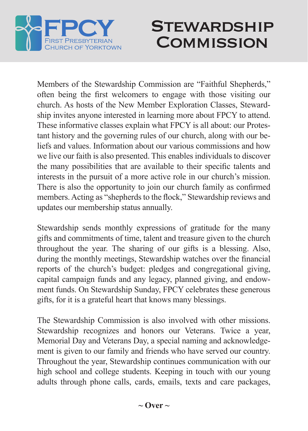

## **STEWARDSHIP COMMISSION**

Members of the Stewardship Commission are "Faithful Shepherds," often being the first welcomers to engage with those visiting our church. As hosts of the New Member Exploration Classes, Stewardship invites anyone interested in learning more about FPCY to attend. These informative classes explain what FPCY is all about: our Protestant history and the governing rules of our church, along with our beliefs and values. Information about our various commissions and how we live our faith is also presented. This enables individuals to discover the many possibilities that are available to their specific talents and interests in the pursuit of a more active role in our church's mission. There is also the opportunity to join our church family as confirmed members. Acting as "shepherds to the flock," Stewardship reviews and updates our membership status annually.

Stewardship sends monthly expressions of gratitude for the many gifts and commitments of time, talent and treasure given to the church throughout the year. The sharing of our gifts is a blessing. Also, during the monthly meetings, Stewardship watches over the financial reports of the church's budget: pledges and congregational giving, capital campaign funds and any legacy, planned giving, and endowment funds. On Stewardship Sunday, FPCY celebrates these generous gifts, for it is a grateful heart that knows many blessings.

The Stewardship Commission is also involved with other missions. Stewardship recognizes and honors our Veterans. Twice a year, Memorial Day and Veterans Day, a special naming and acknowledgement is given to our family and friends who have served our country. Throughout the year, Stewardship continues communication with our high school and college students. Keeping in touch with our young adults through phone calls, cards, emails, texts and care packages,